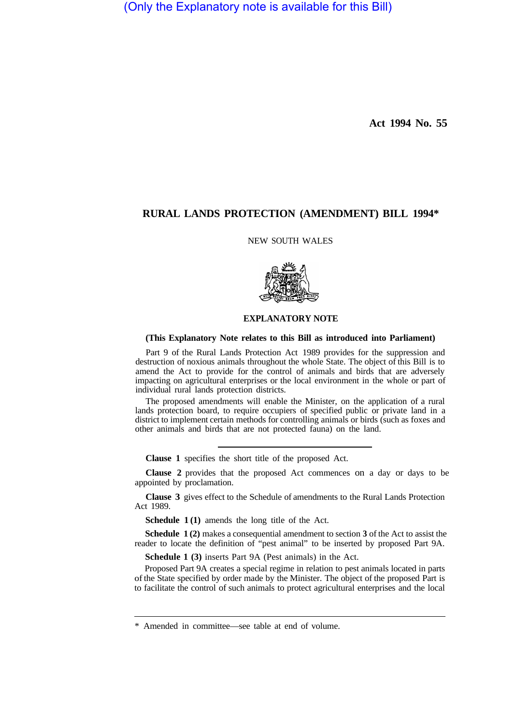(Only the Explanatory note is available for this Bill)

**Act 1994 No. 55** 

# **RURAL LANDS PROTECTION (AMENDMENT) BILL 1994\***

### NEW SOUTH WALES



# **EXPLANATORY NOTE**

#### **(This Explanatory Note relates to this Bill as introduced into Parliament)**

Part 9 of the Rural Lands Protection Act 1989 provides for the suppression and destruction of noxious animals throughout the whole State. The object of this Bill is to amend the Act to provide for the control of animals and birds that are adversely impacting on agricultural enterprises or the local environment in the whole or part of individual rural lands protection districts.

The proposed amendments will enable the Minister, on the application of a rural lands protection board, to require occupiers of specified public or private land in a district to implement certain methods for controlling animals or birds (such as foxes and other animals and birds that are not protected fauna) on the land.

**Clause 1** specifies the short title of the proposed Act.

**Clause 2** provides that the proposed Act commences on a day or days to be appointed by proclamation.

**Clause 3** gives effect to the Schedule of amendments to the Rural Lands Protection Act 1989.

**Schedule 1 (1)** amends the long title of the Act.

**Schedule 1 (2)** makes a consequential amendment to section **3** of the Act to assist the reader to locate the definition of "pest animal" to be inserted by proposed Part 9A.

**Schedule 1 (3)** inserts Part 9A (Pest animals) in the Act.

Proposed Part 9A creates a special regime in relation to pest animals located in parts of the State specified by order made by the Minister. The object of the proposed Part is to facilitate the control of such animals to protect agricultural enterprises and the local

<sup>\*</sup> Amended in committee—see table at end of volume.